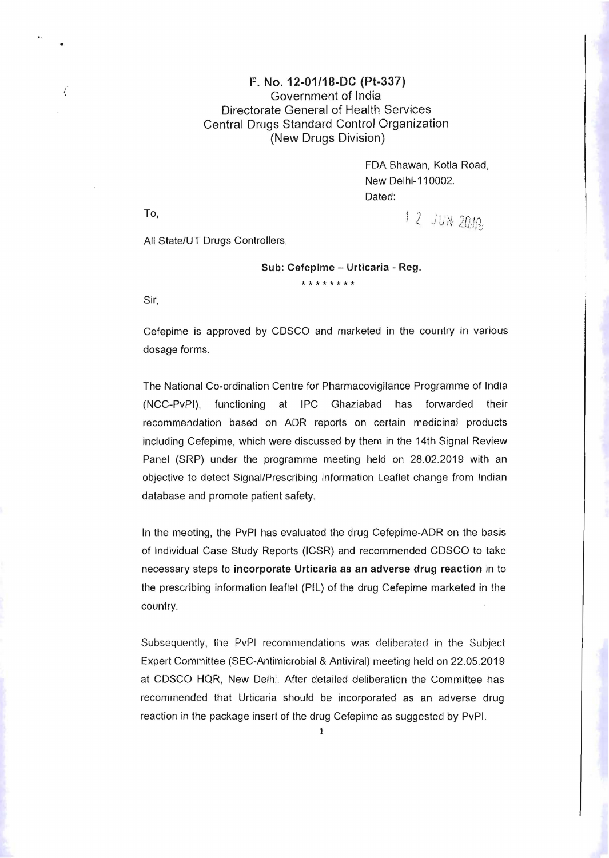## F. No. 12-01/18-DC (Pt-337) Government of India Directorate General of Health Services Central Drugs Standard Control Organization (New Drugs Division)

FDA Shawan, Kotla Road, New Delhi-110002. Dated:

To,  $\frac{1}{2}$   $\frac{1}{N}$   $\frac{2010}{N}$ 

i

All State/UT Drugs Controllers,

## Sub: Cefepime - Urticaria - Reg. **\*\*\*\*\*\*\*\***

Sir,

Cefepime is approved by CDSCO and marketed in the country in various dosage forms.

The National Co-ordination Centre for Pharmacovigilance Programme of India (NCC-PvPI), functioning at IPC Ghaziabad has forwarded their recommendation based on ADR reports on certain medicinal products including Cefepime, which were discussed by them in the 14th Signal Review Panel (SRP) under the programme meeting held on 28.02.2019 with an objective to detect Signal/Prescribing Information Leaflet change from Indian database and promote patient safety.

In the meeting, the PvPI has evaluated the drug Cefepime-ADR on the basis of Individual Case Study Reports (ICSR) and recommended CDSCO to take necessary steps to incorporate Urticaria as an adverse drug reaction in to the prescribing information leaflet (PIL) of the drug Cefepime marketed *in* the country.

Subsequently, the PvPI recommendations was deliberated in the Subject Expert Committee (SEC-Antimicrobial & Antiviral) meeting held on 22.05.2019 at CDSCO HQR, New Delhi. After detailed deliberation the Committee has recommended that Urticaria should be incorporated as an adverse drug reaction in the package insert of the drug Cefepirne as suggested by PvPI.